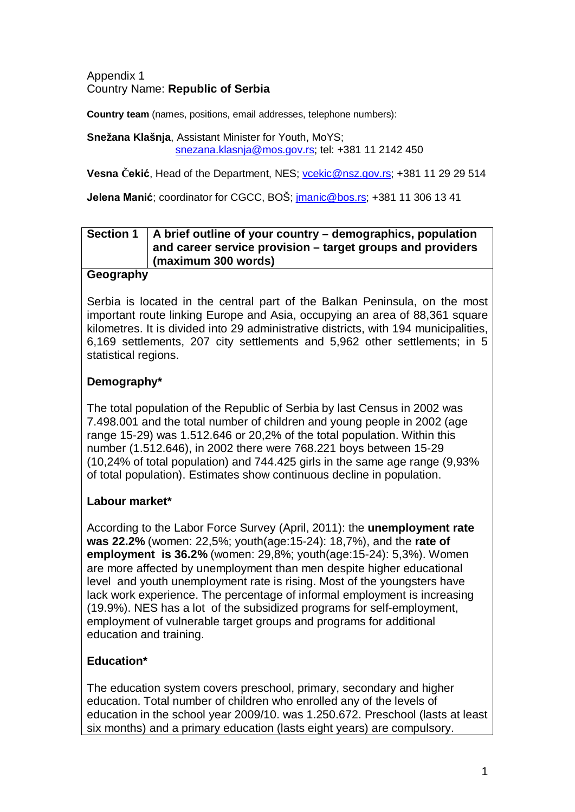Appendix 1 Country Name: **Republic of Serbia**

**Country team** (names, positions, email addresses, telephone numbers):

**Snežana Klašnja**, Assistant Minister for Youth, MoYS; [snezana.klasnja@mos.gov.rs;](mailto:snezana.klasnja@mos.gov.rs) tel: +381 11 2142 450

**Vesna Čekić**, Head of the Department, NES; [vcekic@nsz.gov.rs;](mailto:vcekic@nsz.gov.rs) +381 11 29 29 514

**Jelena Manić**; coordinator for CGCC, BOŠ; [jmanic@bos.rs;](mailto:jmanic@bos.rs) +381 11 306 13 41

#### **Section 1 A brief outline of your country – demographics, population and career service provision – target groups and providers (maximum 300 words)**

#### **Geography**

Serbia is located in the central part of the Balkan Peninsula, on the most important route linking Europe and Asia, occupying an area of 88,361 square kilometres. It is divided into 29 administrative districts, with 194 municipalities, 6,169 settlements, 207 city settlements and 5,962 other settlements; in 5 statistical regions.

## **Demography\***

The total population of the Republic of Serbia by last Census in 2002 was 7.498.001 and the total number of children and young people in 2002 (age range 15-29) was 1.512.646 or 20,2% of the total population. Within this number (1.512.646), in 2002 there were 768.221 boys between 15-29 (10,24% of total population) and 744.425 girls in the same age range (9,93% of total population). Estimates show continuous decline in population.

## **Labour market\***

According to the Labor Force Survey (April, 2011): the **unemployment rate was 22.2%** (women: 22,5%; youth(age:15-24): 18,7%), and the **rate of employment is 36.2%** (women: 29,8%; youth(age:15-24): 5,3%). Women are more affected by unemployment than men despite higher educational level and youth unemployment rate is rising. Most of the youngsters have lack work experience. The percentage of informal employment is increasing (19.9%). NES has a lot of the subsidized programs for self-employment, employment of vulnerable target groups and programs for additional education and training.

## **Education\***

The education system covers preschool, primary, secondary and higher education. Total number of children who enrolled any of the levels of education in the school year 2009/10. was 1.250.672. Preschool (lasts at least six months) and a primary education (lasts eight years) are compulsory.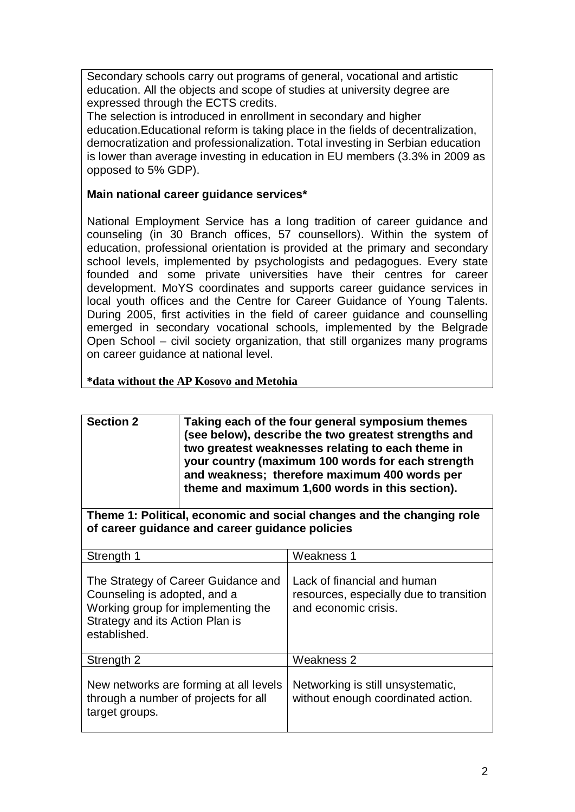Secondary schools carry out programs of general, vocational and artistic education. All the objects and scope of studies at university degree are expressed through the ECTS credits.

The selection is introduced in enrollment in secondary and higher education.Educational reform is taking place in the fields of decentralization, democratization and professionalization. Total investing in Serbian education is lower than average investing in education in EU members (3.3% in 2009 as opposed to 5% GDP).

#### **Main national career guidance services\***

National Employment Service has a long tradition of career guidance and counseling (in 30 Branch offices, 57 counsellors). Within the system of education, professional orientation is provided at the primary and secondary school levels, implemented by psychologists and pedagogues. Every state founded and some private universities have their centres for career development. MoYS coordinates and supports career guidance services in local youth offices and the Centre for Career Guidance of Young Talents. During 2005, first activities in the field of career guidance and counselling emerged in secondary vocational schools, implemented by the Belgrade Open School – civil society organization, that still organizes many programs on career guidance at national level.

**\*data without the AP Kosovo and Metohia**

| <b>Section 2</b> | Taking each of the four general symposium themes<br>(see below), describe the two greatest strengths and<br>two greatest weaknesses relating to each theme in<br>your country (maximum 100 words for each strength<br>and weakness; therefore maximum 400 words per<br>theme and maximum 1,600 words in this section). |
|------------------|------------------------------------------------------------------------------------------------------------------------------------------------------------------------------------------------------------------------------------------------------------------------------------------------------------------------|
|                  |                                                                                                                                                                                                                                                                                                                        |

**Theme 1: Political, economic and social changes and the changing role of career guidance and career guidance policies**

| Strength 1                                                                                                                                                   | Weakness 1                                                                                     |  |  |  |  |
|--------------------------------------------------------------------------------------------------------------------------------------------------------------|------------------------------------------------------------------------------------------------|--|--|--|--|
| The Strategy of Career Guidance and<br>Counseling is adopted, and a<br>Working group for implementing the<br>Strategy and its Action Plan is<br>established. | Lack of financial and human<br>resources, especially due to transition<br>and economic crisis. |  |  |  |  |
| Strength 2                                                                                                                                                   | <b>Weakness 2</b>                                                                              |  |  |  |  |
| New networks are forming at all levels<br>through a number of projects for all<br>target groups.                                                             | Networking is still unsystematic,<br>without enough coordinated action.                        |  |  |  |  |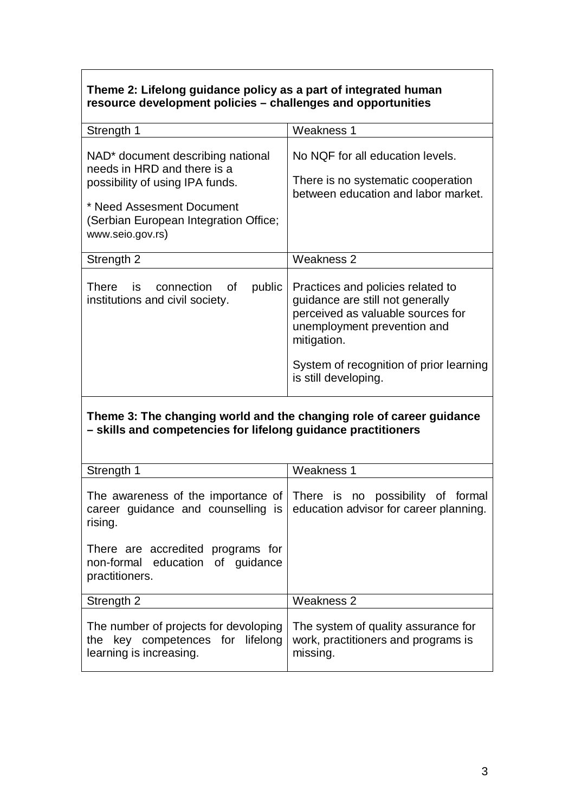## **Theme 2: Lifelong guidance policy as a part of integrated human resource development policies – challenges and opportunities**

| Strength 1                                                                                                                                                                                                | Weakness 1                                                                                                                                                                                                                  |  |  |  |
|-----------------------------------------------------------------------------------------------------------------------------------------------------------------------------------------------------------|-----------------------------------------------------------------------------------------------------------------------------------------------------------------------------------------------------------------------------|--|--|--|
| NAD <sup>*</sup> document describing national<br>needs in HRD and there is a<br>possibility of using IPA funds.<br>* Need Assesment Document<br>(Serbian European Integration Office;<br>www.seio.gov.rs) | No NQF for all education levels.<br>There is no systematic cooperation<br>between education and labor market.                                                                                                               |  |  |  |
| Strength 2                                                                                                                                                                                                | Weakness 2                                                                                                                                                                                                                  |  |  |  |
| There<br>connection of<br>public<br><b>is</b><br>institutions and civil society.                                                                                                                          | Practices and policies related to<br>guidance are still not generally<br>perceived as valuable sources for<br>unemployment prevention and<br>mitigation.<br>System of recognition of prior learning<br>is still developing. |  |  |  |
| Theme 3: The changing world and the changing role of career guidance<br>- skills and competencies for lifelong guidance practitioners                                                                     |                                                                                                                                                                                                                             |  |  |  |
| Strength 1                                                                                                                                                                                                | Weakness 1                                                                                                                                                                                                                  |  |  |  |
| The awareness of the importance of<br>career guidance and counselling is<br>rising.<br>There are accredited programs for<br>non-formal education of guidance<br>practitioners.                            | There is no possibility of formal<br>education advisor for career planning.                                                                                                                                                 |  |  |  |
| Strength 2                                                                                                                                                                                                | <b>Weakness 2</b>                                                                                                                                                                                                           |  |  |  |
|                                                                                                                                                                                                           |                                                                                                                                                                                                                             |  |  |  |
| The number of projects for devoloping<br>the key competences for<br>lifelong<br>learning is increasing.                                                                                                   | The system of quality assurance for<br>work, practitioners and programs is<br>missing.                                                                                                                                      |  |  |  |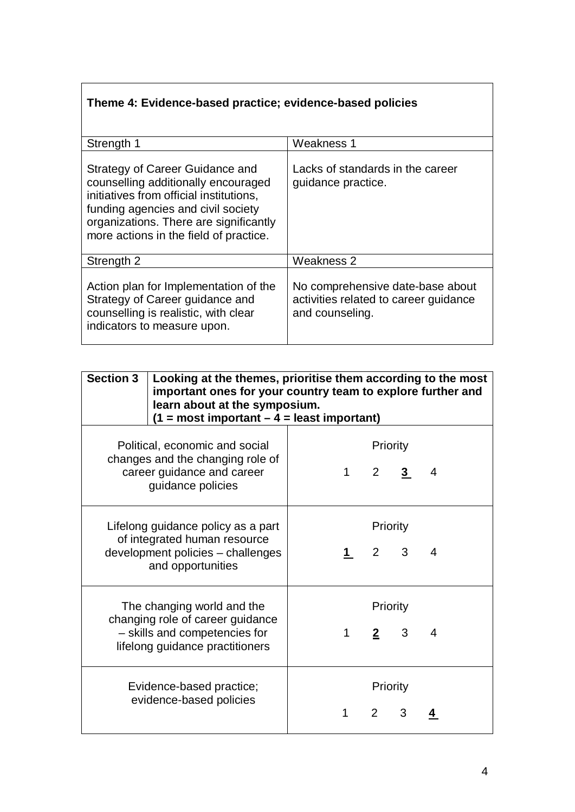# **Theme 4: Evidence-based practice; evidence-based policies**

| Strength 1                                                                                                                                                                                                                                  | Weakness 1                                                                                   |  |  |  |  |
|---------------------------------------------------------------------------------------------------------------------------------------------------------------------------------------------------------------------------------------------|----------------------------------------------------------------------------------------------|--|--|--|--|
| Strategy of Career Guidance and<br>counselling additionally encouraged<br>initiatives from official institutions,<br>funding agencies and civil society<br>organizations. There are significantly<br>more actions in the field of practice. | Lacks of standards in the career<br>guidance practice.                                       |  |  |  |  |
| Strength 2                                                                                                                                                                                                                                  | Weakness 2                                                                                   |  |  |  |  |
| Action plan for Implementation of the<br>Strategy of Career guidance and<br>counselling is realistic, with clear<br>indicators to measure upon.                                                                                             | No comprehensive date-base about<br>activities related to career guidance<br>and counseling. |  |  |  |  |

| <b>Section 3</b>                                                                                                                   | Looking at the themes, prioritise them according to the most<br>important ones for your country team to explore further and<br>learn about at the symposium.<br>$(1 = most important - 4 = least important)$ |   |                         |   |   |
|------------------------------------------------------------------------------------------------------------------------------------|--------------------------------------------------------------------------------------------------------------------------------------------------------------------------------------------------------------|---|-------------------------|---|---|
| Political, economic and social<br>changes and the changing role of<br>career guidance and career<br>guidance policies              |                                                                                                                                                                                                              | 1 | Priority<br>$2 \quad 3$ |   | 4 |
| Lifelong guidance policy as a part<br>of integrated human resource<br>development policies - challenges<br>and opportunities       |                                                                                                                                                                                                              |   | Priority<br>$2 \quad 3$ |   | 4 |
| The changing world and the<br>changing role of career guidance<br>- skills and competencies for<br>lifelong guidance practitioners |                                                                                                                                                                                                              | 1 | Priority<br>$2^{\circ}$ | 3 | 4 |
|                                                                                                                                    | Evidence-based practice;<br>evidence-based policies                                                                                                                                                          | 1 | Priority<br>$2^{\circ}$ | 3 |   |